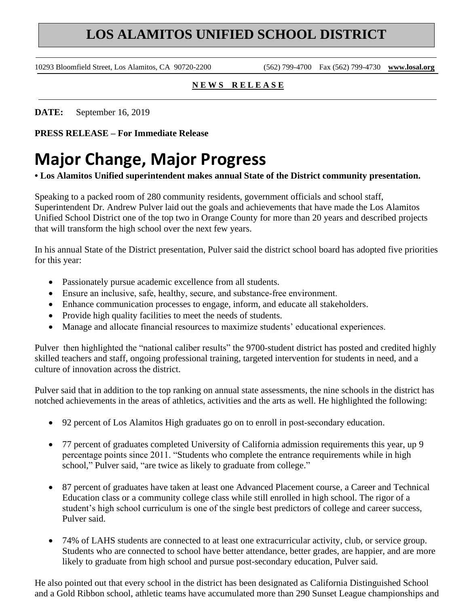## **LOS ALAMITOS UNIFIED SCHOOL DISTRICT**

10293 Bloomfield Street, Los Alamitos, CA 90720-2200 (562) 799-4700 Fax (562) 799-4730 **www.losal.org**

## **N E W S R E L E A S E**

**DATE:** September 16, 2019

**PRESS RELEASE – For Immediate Release** 

## **Major Change, Major Progress**

**• Los Alamitos Unified superintendent makes annual State of the District community presentation.**

Speaking to a packed room of 280 community residents, government officials and school staff, Superintendent Dr. Andrew Pulver laid out the goals and achievements that have made the Los Alamitos Unified School District one of the top two in Orange County for more than 20 years and described projects that will transform the high school over the next few years.

In his annual State of the District presentation, Pulver said the district school board has adopted five priorities for this year:

- Passionately pursue academic excellence from all students.
- Ensure an inclusive, safe, healthy, secure, and substance-free environment.
- Enhance communication processes to engage, inform, and educate all stakeholders.
- Provide high quality facilities to meet the needs of students.
- Manage and allocate financial resources to maximize students' educational experiences.

Pulver then highlighted the "national caliber results" the 9700-student district has posted and credited highly skilled teachers and staff, ongoing professional training, targeted intervention for students in need, and a culture of innovation across the district.

Pulver said that in addition to the top ranking on annual state assessments, the nine schools in the district has notched achievements in the areas of athletics, activities and the arts as well. He highlighted the following:

- 92 percent of Los Alamitos High graduates go on to enroll in post‐secondary education.
- 77 percent of graduates completed University of California admission requirements this year, up 9 percentage points since 2011. "Students who complete the entrance requirements while in high school," Pulver said, "are twice as likely to graduate from college."
- 87 percent of graduates have taken at least one Advanced Placement course, a Career and Technical Education class or a community college class while still enrolled in high school. The rigor of a student's high school curriculum is one of the single best predictors of college and career success, Pulver said.
- 74% of LAHS students are connected to at least one extracurricular activity, club, or service group. Students who are connected to school have better attendance, better grades, are happier, and are more likely to graduate from high school and pursue post-secondary education, Pulver said.

He also pointed out that every school in the district has been designated as California Distinguished School and a Gold Ribbon school, athletic teams have accumulated more than 290 Sunset League championships and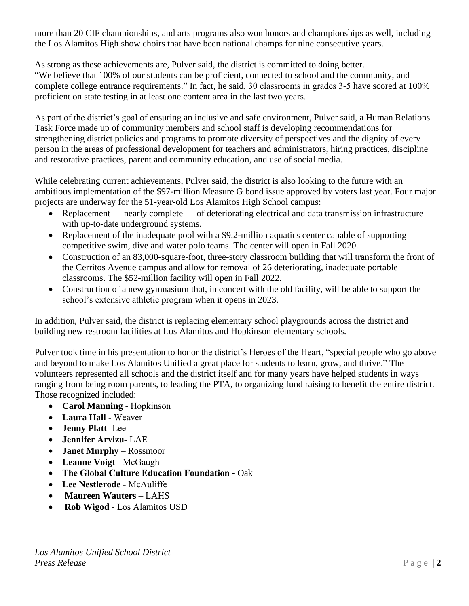more than 20 CIF championships, and arts programs also won honors and championships as well, including the Los Alamitos High show choirs that have been national champs for nine consecutive years.

As strong as these achievements are, Pulver said, the district is committed to doing better. "We believe that 100% of our students can be proficient, connected to school and the community, and complete college entrance requirements." In fact, he said, 30 classrooms in grades 3‐5 have scored at 100% proficient on state testing in at least one content area in the last two years.

As part of the district's goal of ensuring an inclusive and safe environment, Pulver said, a Human Relations Task Force made up of community members and school staff is developing recommendations for strengthening district policies and programs to promote diversity of perspectives and the dignity of every person in the areas of professional development for teachers and administrators, hiring practices, discipline and restorative practices, parent and community education, and use of social media.

While celebrating current achievements, Pulver said, the district is also looking to the future with an ambitious implementation of the \$97-million Measure G bond issue approved by voters last year. Four major projects are underway for the 51-year-old Los Alamitos High School campus:

- Replacement nearly complete of deteriorating electrical and data transmission infrastructure with up-to-date underground systems.
- Replacement of the inadequate pool with a \$9.2-million aquatics center capable of supporting competitive swim, dive and water polo teams. The center will open in Fall 2020.
- Construction of an 83,000-square-foot, three-story classroom building that will transform the front of the Cerritos Avenue campus and allow for removal of 26 deteriorating, inadequate portable classrooms. The \$52-million facility will open in Fall 2022.
- Construction of a new gymnasium that, in concert with the old facility, will be able to support the school's extensive athletic program when it opens in 2023.

In addition, Pulver said, the district is replacing elementary school playgrounds across the district and building new restroom facilities at Los Alamitos and Hopkinson elementary schools.

Pulver took time in his presentation to honor the district's Heroes of the Heart, "special people who go above and beyond to make Los Alamitos Unified a great place for students to learn, grow, and thrive." The volunteers represented all schools and the district itself and for many years have helped students in ways ranging from being room parents, to leading the PTA, to organizing fund raising to benefit the entire district. Those recognized included:

- **Carol Manning** ‐ Hopkinson
- **Laura Hall** ‐ Weaver
- **Jenny Platt**‐ Lee
- **Jennifer Arvizu‐** LAE
- **Janet Murphy**  Rossmoor
- **Leanne Voigt** ‐ McGaugh
- The Global Culture Education Foundation Oak
- **Lee Nestlerode** ‐ McAuliffe
- **Maureen Wauters**  LAHS
- **Rob Wigod** ‐ Los Alamitos USD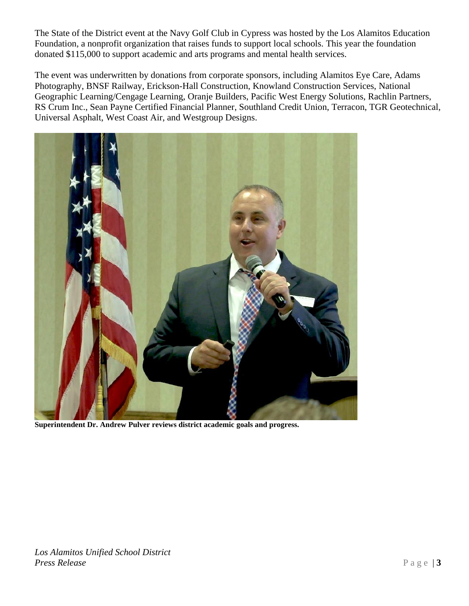The State of the District event at the Navy Golf Club in Cypress was hosted by the Los Alamitos Education Foundation, a nonprofit organization that raises funds to support local schools. This year the foundation donated \$115,000 to support academic and arts programs and mental health services.

The event was underwritten by donations from corporate sponsors, including Alamitos Eye Care, Adams Photography, BNSF Railway, Erickson-Hall Construction, Knowland Construction Services, National Geographic Learning/Cengage Learning, Oranje Builders, Pacific West Energy Solutions, Rachlin Partners, RS Crum Inc., Sean Payne Certified Financial Planner, Southland Credit Union, Terracon, TGR Geotechnical, Universal Asphalt, West Coast Air, and Westgroup Designs.



**Superintendent Dr. Andrew Pulver reviews district academic goals and progress.**